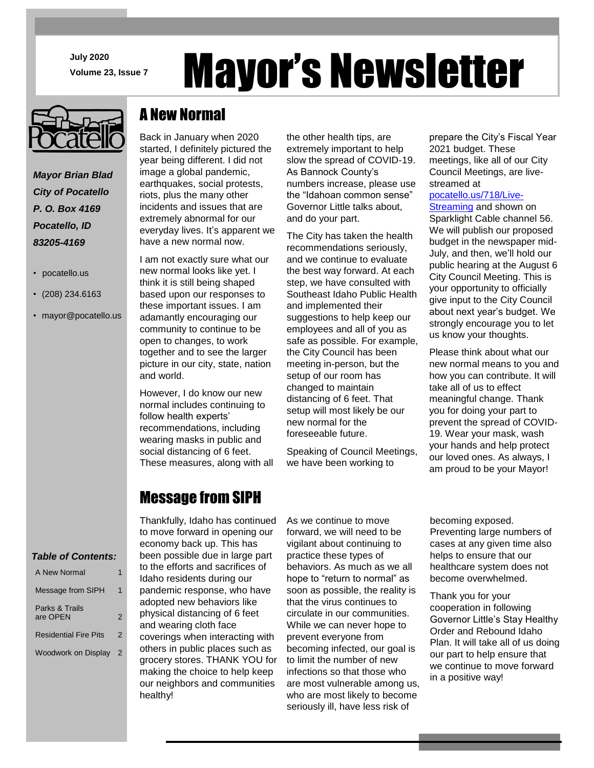**July 2020** J **Volume 23, Issue 7** Mayor's Newsletter

*Mayor Brian Blad City of Pocatello P. O. Box 4169 Pocatello, ID 83205-4169*

- pocatello.us
- (208) 234.6163
- mayor@pocatello.us

# A New Normal

Back in January when 2020 started, I definitely pictured the year being different. I did not image a global pandemic, earthquakes, social protests, riots, plus the many other incidents and issues that are extremely abnormal for our everyday lives. It's apparent we have a new normal now.

I am not exactly sure what our new normal looks like yet. I think it is still being shaped based upon our responses to these important issues. I am adamantly encouraging our community to continue to be open to changes, to work together and to see the larger picture in our city, state, nation and world.

However, I do know our new normal includes continuing to follow health experts' recommendations, including wearing masks in public and social distancing of 6 feet. These measures, along with all

the other health tips, are extremely important to help slow the spread of COVID-19. As Bannock County's numbers increase, please use the "Idahoan common sense" Governor Little talks about, and do your part.

The City has taken the health recommendations seriously, and we continue to evaluate the best way forward. At each step, we have consulted with Southeast Idaho Public Health and implemented their suggestions to help keep our employees and all of you as safe as possible. For example, the City Council has been meeting in-person, but the setup of our room has changed to maintain distancing of 6 feet. That setup will most likely be our new normal for the foreseeable future.

Speaking of Council Meetings, we have been working to

prepare the City's Fiscal Year 2021 budget. These meetings, like all of our City Council Meetings, are livestreamed at

#### [pocatello.us/718/Live-](https://www.pocatello.us/718/Live-Streaming)

[Streaming](https://www.pocatello.us/718/Live-Streaming) and shown on Sparklight Cable channel 56. We will publish our proposed budget in the newspaper mid-July, and then, we'll hold our public hearing at the August 6 City Council Meeting. This is your opportunity to officially give input to the City Council about next year's budget. We strongly encourage you to let us know your thoughts.

Please think about what our new normal means to you and how you can contribute. It will take all of us to effect meaningful change. Thank you for doing your part to prevent the spread of COVID-19. Wear your mask, wash your hands and help protect our loved ones. As always, I am proud to be your Mayor!

### Message from SIPH

 *Table of Contents:*

| A New Normal                 |   |
|------------------------------|---|
| Message from SIPH            | 1 |
| Parks & Trails<br>are OPEN   | 2 |
| <b>Residential Fire Pits</b> | 2 |
| Woodwork on Display 2        |   |

Thankfully, Idaho has continued to move forward in opening our economy back up. This has been possible due in large part to the efforts and sacrifices of Idaho residents during our pandemic response, who have adopted new behaviors like physical distancing of 6 feet and wearing cloth face coverings when interacting with others in public places such as grocery stores. THANK YOU for making the choice to help keep our neighbors and communities healthy!

As we continue to move forward, we will need to be vigilant about continuing to practice these types of behaviors. As much as we all hope to "return to normal" as soon as possible, the reality is that the virus continues to circulate in our communities. While we can never hope to prevent everyone from becoming infected, our goal is to limit the number of new infections so that those who are most vulnerable among us, who are most likely to become seriously ill, have less risk of

becoming exposed.

Preventing large numbers of cases at any given time also helps to ensure that our healthcare system does not become overwhelmed.

Thank you for your cooperation in following Governor Little's Stay Healthy Order and Rebound Idaho Plan. It will take all of us doing our part to help ensure that we continue to move forward in a positive way!